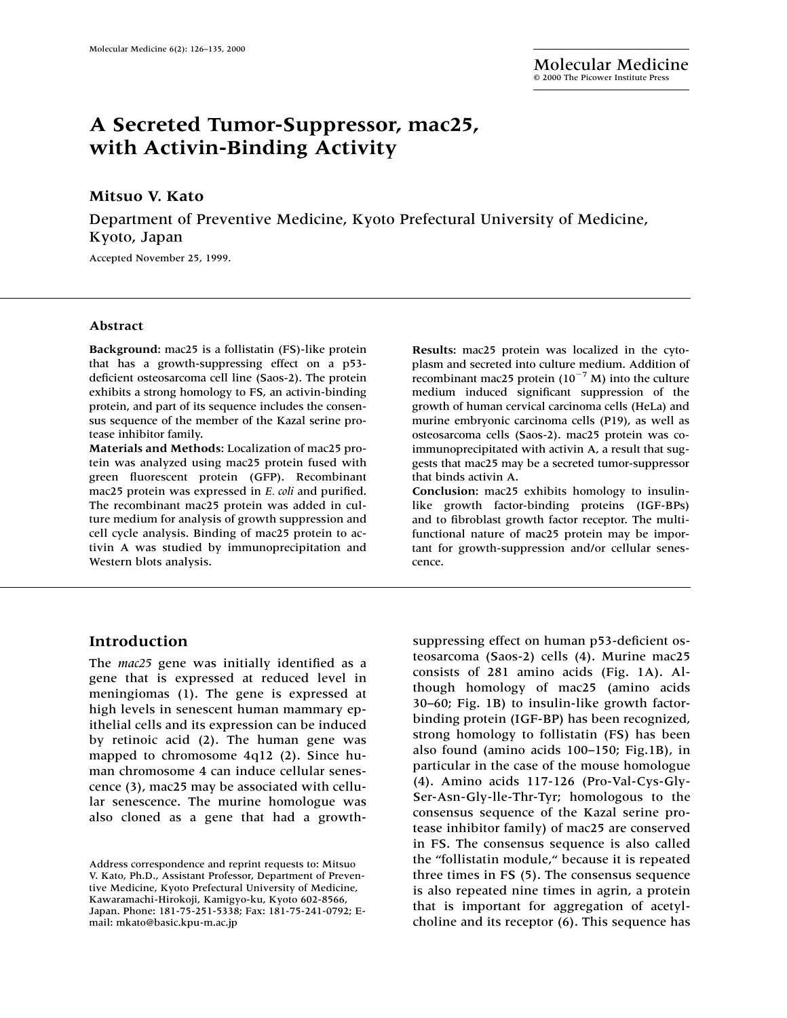# **A Secreted Tumor-Suppressor, mac25, with Activin-Binding Activity**

# **Mitsuo V. Kato**

Department of Preventive Medicine, Kyoto Prefectural University of Medicine, Kyoto, Japan

Accepted November 25, 1999.

#### **Abstract**

**Background:** mac25 is a follistatin (FS)-like protein that has a growth-suppressing effect on a p53 deficient osteosarcoma cell line (Saos-2). The protein exhibits a strong homology to FS, an activin-binding protein, and part of its sequence includes the consensus sequence of the member of the Kazal serine protease inhibitor family.

**Materials and Methods:** Localization of mac25 protein was analyzed using mac25 protein fused with green fluorescent protein (GFP). Recombinant mac25 protein was expressed in *E. coli* and purified. The recombinant mac25 protein was added in culture medium for analysis of growth suppression and cell cycle analysis. Binding of mac25 protein to activin A was studied by immunoprecipitation and Western blots analysis.

## **Results:** mac25 protein was localized in the cytoplasm and secreted into culture medium. Addition of recombinant mac25 protein  $(10^{-7} M)$  into the culture medium induced significant suppression of the growth of human cervical carcinoma cells (HeLa) and murine embryonic carcinoma cells (P19), as well as osteosarcoma cells (Saos-2). mac25 protein was coimmunoprecipitated with activin A, a result that suggests that mac25 may be a secreted tumor-suppressor that binds activin A.

**Conclusion:** mac25 exhibits homology to insulinlike growth factor-binding proteins (IGF-BPs) and to fibroblast growth factor receptor. The multifunctional nature of mac25 protein may be important for growth-suppression and/or cellular senescence.

# **Introduction**

The *mac25* gene was initially identified as a gene that is expressed at reduced level in meningiomas (1). The gene is expressed at high levels in senescent human mammary epithelial cells and its expression can be induced by retinoic acid (2). The human gene was mapped to chromosome 4q12 (2). Since human chromosome 4 can induce cellular senescence (3), mac25 may be associated with cellular senescence. The murine homologue was also cloned as a gene that had a growth-

suppressing effect on human p53-deficient osteosarcoma (Saos-2) cells (4). Murine mac25 consists of 281 amino acids (Fig. 1A). Although homology of mac25 (amino acids 30–60; Fig. 1B) to insulin-like growth factorbinding protein (IGF-BP) has been recognized, strong homology to follistatin (FS) has been also found (amino acids 100–150; Fig.1B), in particular in the case of the mouse homologue (4). Amino acids 117-126 (Pro-Val-Cys-Gly-Ser-Asn-Gly-lle-Thr-Tyr; homologous to the consensus sequence of the Kazal serine protease inhibitor family) of mac25 are conserved in FS. The consensus sequence is also called the "follistatin module," because it is repeated three times in FS (5). The consensus sequence is also repeated nine times in agrin, a protein that is important for aggregation of acetylcholine and its receptor (6). This sequence has

Address correspondence and reprint requests to: Mitsuo V. Kato, Ph.D., Assistant Professor, Department of Preventive Medicine, Kyoto Prefectural University of Medicine, Kawaramachi-Hirokoji, Kamigyo-ku, Kyoto 602-8566, Japan. Phone: 181-75-251-5338; Fax: 181-75-241-0792; Email: mkato@basic.kpu-m.ac.jp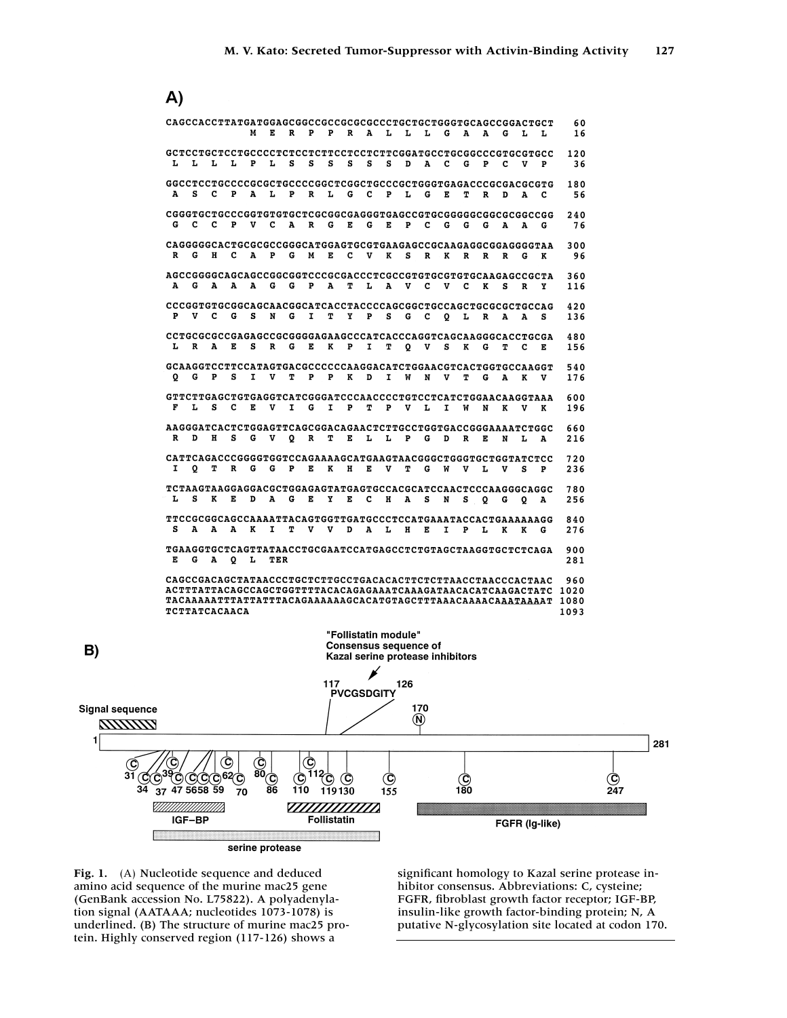A)



**Fig. 1.** (A) Nucleotide sequence and deduced amino acid sequence of the murine mac25 gene (GenBank accession No. L75822). A polyadenylation signal (AATAAA; nucleotides 1073-1078) is underlined. (B) The structure of murine mac25 protein. Highly conserved region (117-126) shows a

 $B)$ 

significant homology to Kazal serine protease inhibitor consensus. Abbreviations: C, cysteine; FGFR, fibroblast growth factor receptor; IGF-BP, insulin-like growth factor-binding protein; N, A putative N-glycosylation site located at codon 170.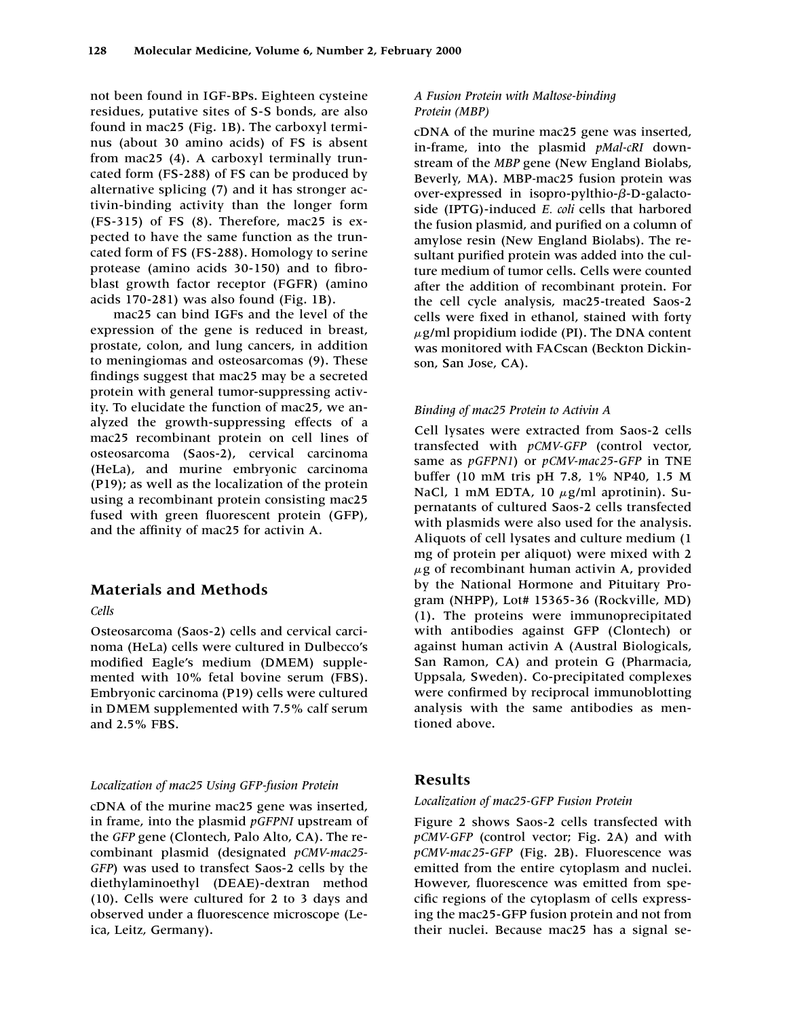not been found in IGF-BPs. Eighteen cysteine residues, putative sites of S-S bonds, are also found in mac25 (Fig. 1B). The carboxyl terminus (about 30 amino acids) of FS is absent from mac25 (4). A carboxyl terminally truncated form (FS-288) of FS can be produced by alternative splicing (7) and it has stronger activin-binding activity than the longer form (FS-315) of FS (8). Therefore, mac25 is expected to have the same function as the truncated form of FS (FS-288). Homology to serine protease (amino acids 30-150) and to fibroblast growth factor receptor (FGFR) (amino acids 170-281) was also found (Fig. 1B).

mac25 can bind IGFs and the level of the expression of the gene is reduced in breast, prostate, colon, and lung cancers, in addition to meningiomas and osteosarcomas (9). These findings suggest that mac25 may be a secreted protein with general tumor-suppressing activity. To elucidate the function of mac25, we analyzed the growth-suppressing effects of a mac25 recombinant protein on cell lines of osteosarcoma (Saos-2), cervical carcinoma (HeLa), and murine embryonic carcinoma (P19); as well as the localization of the protein using a recombinant protein consisting mac25 fused with green fluorescent protein (GFP), and the affinity of mac25 for activin A.

# **Materials and Methods**

*Cells*

Osteosarcoma (Saos-2) cells and cervical carcinoma (HeLa) cells were cultured in Dulbecco's modified Eagle's medium (DMEM) supplemented with 10% fetal bovine serum (FBS). Embryonic carcinoma (P19) cells were cultured in DMEM supplemented with 7.5% calf serum and 2.5% FBS.

#### *Localization of mac25 Using GFP-fusion Protein*

cDNA of the murine mac25 gene was inserted, in frame, into the plasmid *pGFPNI* upstream of the *GFP* gene (Clontech, Palo Alto, CA). The recombinant plasmid (designated *pCMV-mac25- GFP*) was used to transfect Saos-2 cells by the diethylaminoethyl (DEAE)-dextran method (10). Cells were cultured for 2 to 3 days and observed under a fluorescence microscope (Leica, Leitz, Germany).

## *A Fusion Protein with Maltose-binding Protein (MBP)*

cDNA of the murine mac25 gene was inserted, in-frame, into the plasmid *pMal-cRI* downstream of the *MBP* gene (New England Biolabs, Beverly, MA). MBP*-*mac25 fusion protein was over-expressed in isopro-pylthio-β-D-galactoside (IPTG)-induced *E. coli* cells that harbored the fusion plasmid, and purified on a column of amylose resin (New England Biolabs). The resultant purified protein was added into the culture medium of tumor cells. Cells were counted after the addition of recombinant protein. For the cell cycle analysis, mac25-treated Saos-2 cells were fixed in ethanol, stained with forty  $\mu$ g/ml propidium iodide (PI). The DNA content was monitored with FACscan (Beckton Dickinson, San Jose, CA).

## *Binding of mac25 Protein to Activin A*

Cell lysates were extracted from Saos-2 cells transfected with *pCMV-GFP* (control vector, same as *pGFPN1*) or *pCMV-mac25*-*GFP* in TNE buffer (10 mM tris pH 7.8, 1% NP40, 1.5 M NaCl, 1 mM EDTA, 10 µg/ml aprotinin). Supernatants of cultured Saos-2 cells transfected with plasmids were also used for the analysis. Aliquots of cell lysates and culture medium (1 mg of protein per aliquot) were mixed with 2  $\mu$ g of recombinant human activin A, provided by the National Hormone and Pituitary Program (NHPP), Lot# 15365-36 (Rockville, MD) (1). The proteins were immunoprecipitated with antibodies against GFP (Clontech) or against human activin A (Austral Biologicals, San Ramon, CA) and protein G (Pharmacia, Uppsala, Sweden). Co-precipitated complexes were confirmed by reciprocal immunoblotting analysis with the same antibodies as mentioned above.

## **Results**

#### *Localization of mac25-GFP Fusion Protein*

Figure 2 shows Saos-2 cells transfected with *pCMV-GFP* (control vector; Fig. 2A) and with *pCMV-mac25*-*GFP* (Fig. 2B). Fluorescence was emitted from the entire cytoplasm and nuclei. However, fluorescence was emitted from specific regions of the cytoplasm of cells expressing the mac25-GFP fusion protein and not from their nuclei. Because mac25 has a signal se-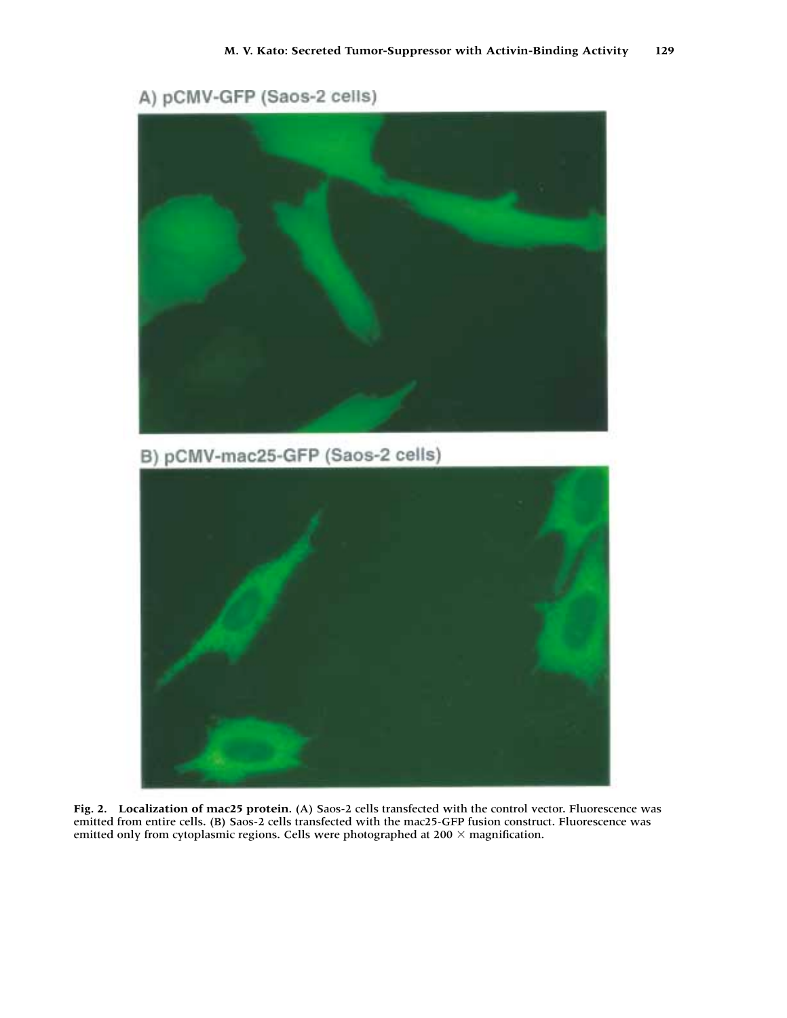



**Fig. 2. Localization of mac25 protein.** (A) Saos-2 cells transfected with the control vector. Fluorescence was emitted from entire cells. (B) Saos-2 cells transfected with the mac25*-*GFP fusion construct. Fluorescence was emitted only from cytoplasmic regions. Cells were photographed at 200  $\times$  magnification.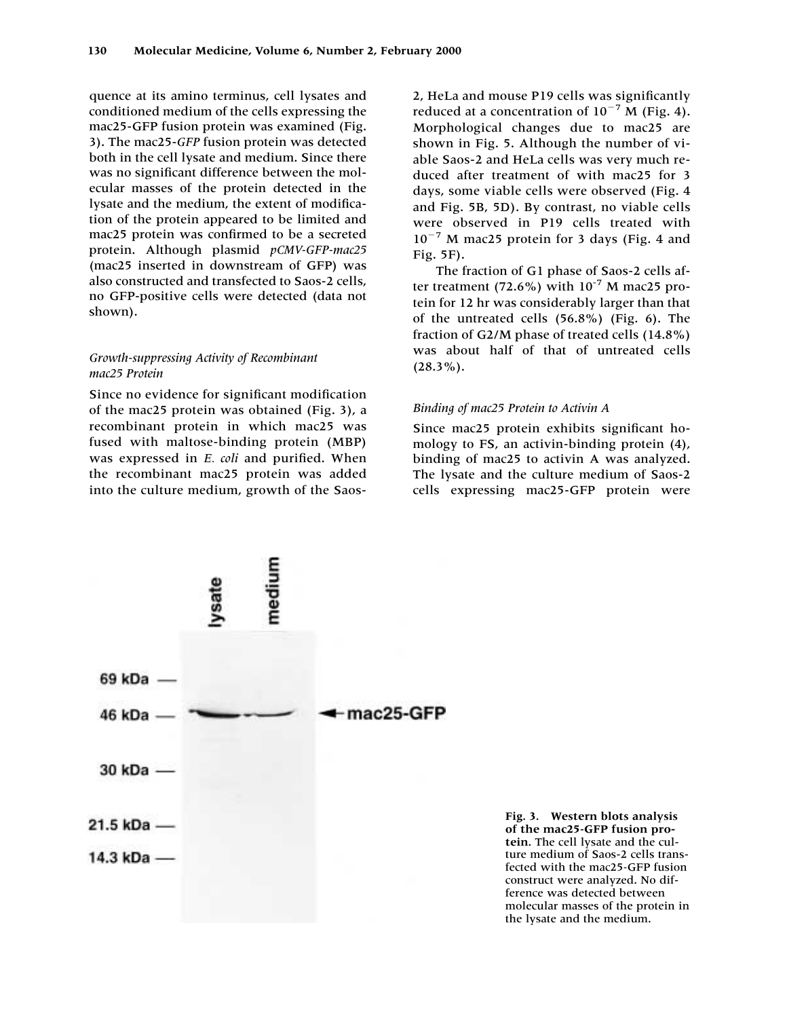quence at its amino terminus, cell lysates and conditioned medium of the cells expressing the mac25-GFP fusion protein was examined (Fig. 3). The mac25-*GFP* fusion protein was detected both in the cell lysate and medium. Since there was no significant difference between the molecular masses of the protein detected in the lysate and the medium, the extent of modification of the protein appeared to be limited and mac25 protein was confirmed to be a secreted protein. Although plasmid *pCMV-GFP-mac25* (mac25 inserted in downstream of GFP) was also constructed and transfected to Saos-2 cells, no GFP-positive cells were detected (data not shown).

## *Growth-suppressing Activity of Recombinant mac25 Protein*

Since no evidence for significant modification of the mac25 protein was obtained (Fig. 3), a recombinant protein in which mac25 was fused with maltose-binding protein (MBP) was expressed in *E. coli* and purified. When the recombinant mac25 protein was added into the culture medium, growth of the Saos2, HeLa and mouse P19 cells was significantly reduced at a concentration of  $10^{-7}$  M (Fig. 4). Morphological changes due to mac25 are shown in Fig. 5. Although the number of viable Saos-2 and HeLa cells was very much reduced after treatment of with mac25 for 3 days, some viable cells were observed (Fig. 4 and Fig. 5B, 5D). By contrast, no viable cells were observed in P19 cells treated with 10<sup>-7</sup> M mac25 protein for 3 days (Fig. 4 and Fig. 5F).

The fraction of G1 phase of Saos-2 cells after treatment (72.6%) with  $10^{-7}$  M mac25 protein for 12 hr was considerably larger than that of the untreated cells (56.8%) (Fig. 6). The fraction of G2/M phase of treated cells (14.8%) was about half of that of untreated cells  $(28.3\%)$ .

#### *Binding of mac25 Protein to Activin A*

Since mac25 protein exhibits significant homology to FS, an activin-binding protein (4), binding of mac25 to activin A was analyzed. The lysate and the culture medium of Saos-2 cells expressing mac25-GFP protein were



**Fig. 3. Western blots analysis of the mac25***-***GFP fusion protein.** The cell lysate and the culture medium of Saos-2 cells transfected with the mac25*-*GFP fusion construct were analyzed. No difference was detected between molecular masses of the protein in the lysate and the medium.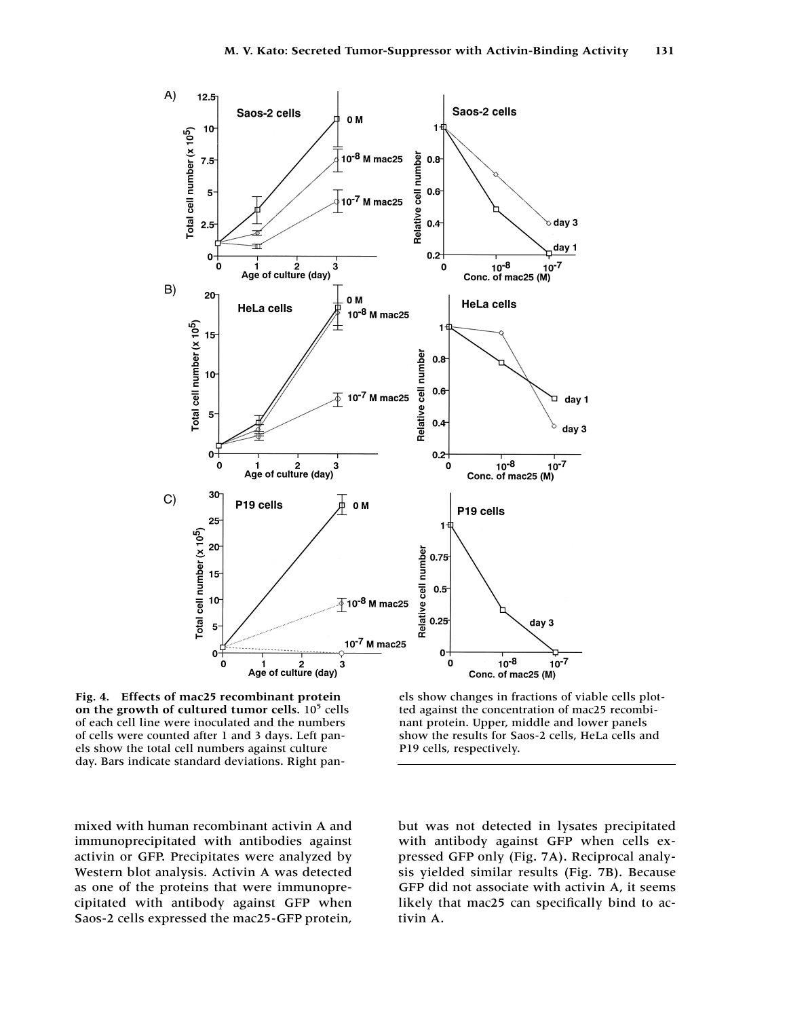

**Fig. 4. Effects of mac25 recombinant protein** on the growth of cultured tumor cells.  $10<sup>5</sup>$  cells of each cell line were inoculated and the numbers of cells were counted after 1 and 3 days. Left panels show the total cell numbers against culture day. Bars indicate standard deviations. Right pan-

els show changes in fractions of viable cells plotted against the concentration of mac25 recombinant protein. Upper, middle and lower panels show the results for Saos-2 cells, HeLa cells and P19 cells, respectively.

mixed with human recombinant activin A and immunoprecipitated with antibodies against activin or GFP. Precipitates were analyzed by Western blot analysis. Activin A was detected as one of the proteins that were immunoprecipitated with antibody against GFP when Saos-2 cells expressed the mac25-GFP protein, but was not detected in lysates precipitated with antibody against GFP when cells expressed GFP only (Fig. 7A). Reciprocal analysis yielded similar results (Fig. 7B). Because GFP did not associate with activin A, it seems likely that mac25 can specifically bind to activin A.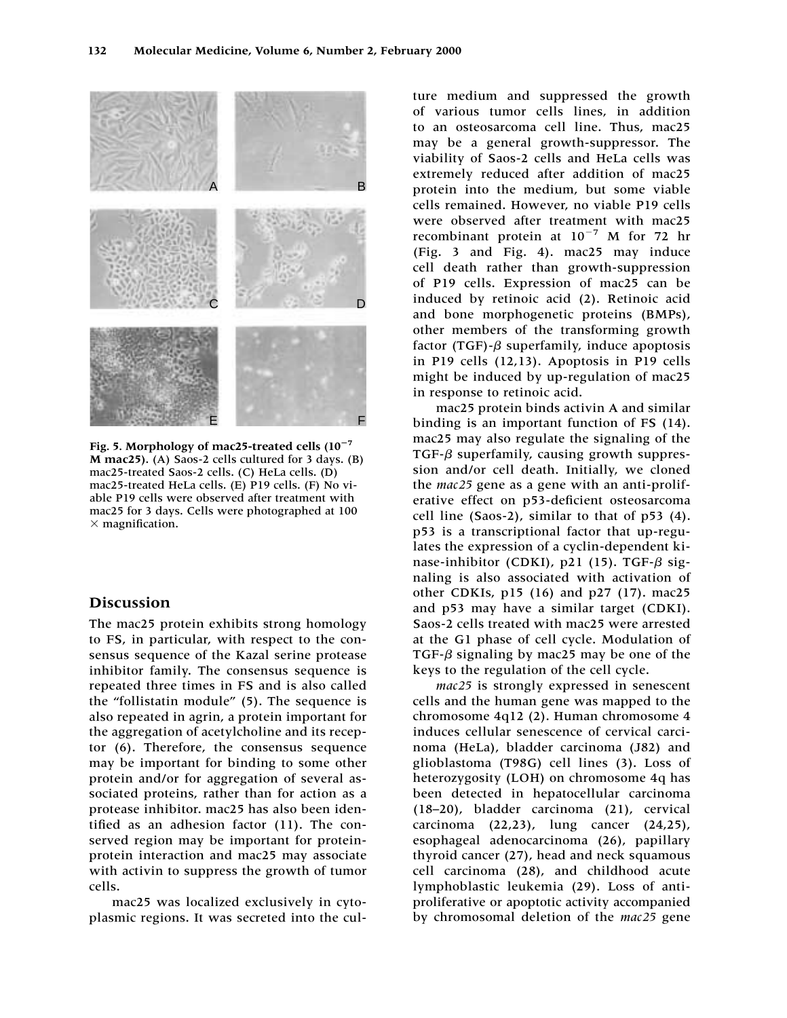

**Fig. 5. Morphology of mac25-treated cells (10**-**7 M mac25).** (A) Saos-2 cells cultured for 3 days. (B) mac25-treated Saos-2 cells. (C) HeLa cells. (D) mac25-treated HeLa cells. (E) P19 cells. (F) No viable P19 cells were observed after treatment with mac25 for 3 days. Cells were photographed at 100  $\times$  magnification.

# **Discussion**

The mac25 protein exhibits strong homology to FS, in particular, with respect to the consensus sequence of the Kazal serine protease inhibitor family. The consensus sequence is repeated three times in FS and is also called the "follistatin module" (5). The sequence is also repeated in agrin, a protein important for the aggregation of acetylcholine and its receptor (6). Therefore, the consensus sequence may be important for binding to some other protein and/or for aggregation of several associated proteins, rather than for action as a protease inhibitor. mac25 has also been identified as an adhesion factor (11). The conserved region may be important for proteinprotein interaction and mac25 may associate with activin to suppress the growth of tumor cells.

mac25 was localized exclusively in cytoplasmic regions. It was secreted into the culture medium and suppressed the growth of various tumor cells lines, in addition to an osteosarcoma cell line. Thus, mac25 may be a general growth-suppressor. The viability of Saos-2 cells and HeLa cells was extremely reduced after addition of mac25 protein into the medium, but some viable cells remained. However, no viable P19 cells were observed after treatment with mac25 recombinant protein at  $10^{-7}$  M for 72 hr (Fig. 3 and Fig. 4). mac25 may induce cell death rather than growth-suppression of P19 cells. Expression of mac25 can be induced by retinoic acid (2). Retinoic acid and bone morphogenetic proteins (BMPs), other members of the transforming growth factor (TGF)- $\beta$  superfamily, induce apoptosis in P19 cells (12,13). Apoptosis in P19 cells might be induced by up-regulation of mac25 in response to retinoic acid.

mac25 protein binds activin A and similar binding is an important function of FS (14). mac25 may also regulate the signaling of the TGF- $\beta$  superfamily, causing growth suppression and/or cell death. Initially, we cloned the *mac25* gene as a gene with an anti-proliferative effect on p53-deficient osteosarcoma cell line (Saos-2), similar to that of p53 (4). p53 is a transcriptional factor that up-regulates the expression of a cyclin-dependent kinase-inhibitor (CDKI), p21 (15). TGF- $\beta$  signaling is also associated with activation of other CDKIs, p15 (16) and p27 (17). mac25 and p53 may have a similar target (CDKI). Saos-2 cells treated with mac25 were arrested at the G1 phase of cell cycle. Modulation of TGF- $\beta$  signaling by mac25 may be one of the keys to the regulation of the cell cycle.

*mac25* is strongly expressed in senescent cells and the human gene was mapped to the chromosome 4q12 (2). Human chromosome 4 induces cellular senescence of cervical carcinoma (HeLa), bladder carcinoma (J82) and glioblastoma (T98G) cell lines (3). Loss of heterozygosity (LOH) on chromosome 4q has been detected in hepatocellular carcinoma (18–20), bladder carcinoma (21), cervical carcinoma (22,23), lung cancer (24,25), esophageal adenocarcinoma (26), papillary thyroid cancer (27), head and neck squamous cell carcinoma (28), and childhood acute lymphoblastic leukemia (29). Loss of antiproliferative or apoptotic activity accompanied by chromosomal deletion of the *mac25* gene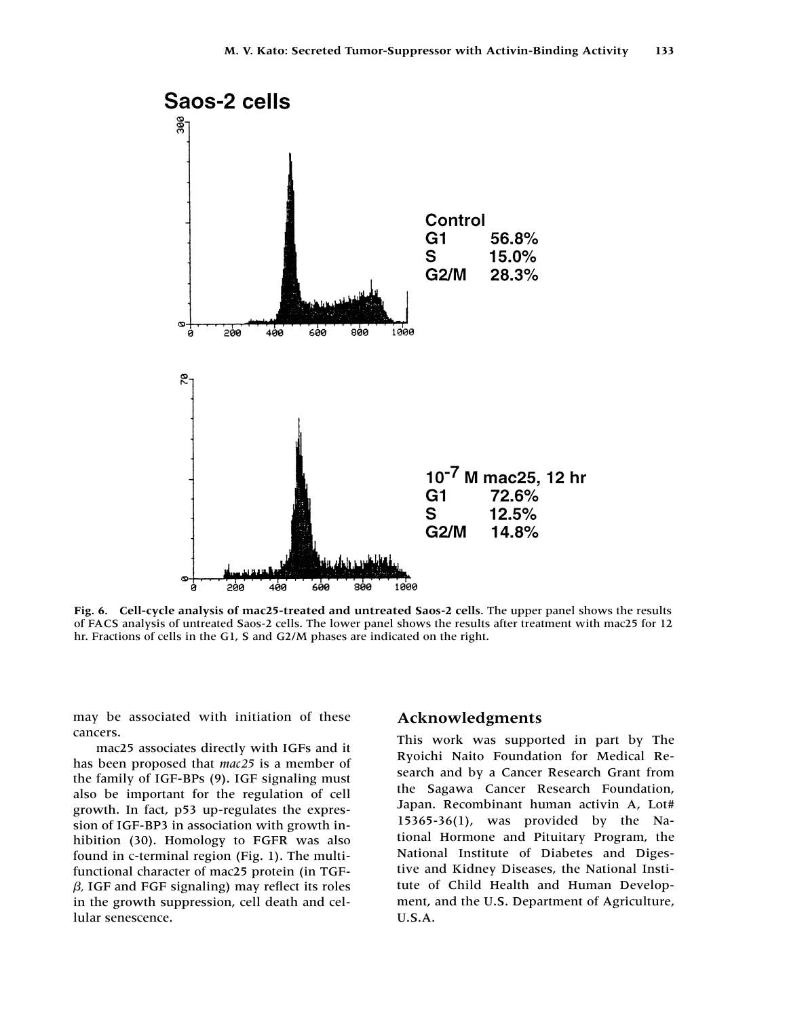

**Fig. 6. Cell-cycle analysis of mac25-treated and untreated Saos-2 cells**. The upper panel shows the results of FACS analysis of untreated Saos-2 cells. The lower panel shows the results after treatment with mac25 for 12 hr. Fractions of cells in the G1, S and G2/M phases are indicated on the right.

may be associated with initiation of these cancers.

mac25 associates directly with IGFs and it has been proposed that *mac25* is a member of the family of IGF-BPs (9). IGF signaling must also be important for the regulation of cell growth. In fact, p53 up-regulates the expression of IGF-BP3 in association with growth inhibition (30). Homology to FGFR was also found in c-terminal region (Fig. 1). The multifunctional character of mac25 protein (in TGF-  $\beta$ , IGF and FGF signaling) may reflect its roles in the growth suppression, cell death and cellular senescence.

## **Acknowledgments**

This work was supported in part by The Ryoichi Naito Foundation for Medical Research and by a Cancer Research Grant from the Sagawa Cancer Research Foundation, Japan. Recombinant human activin A, Lot# 15365-36(1), was provided by the National Hormone and Pituitary Program, the National Institute of Diabetes and Digestive and Kidney Diseases, the National Institute of Child Health and Human Development, and the U.S. Department of Agriculture, U.S.A.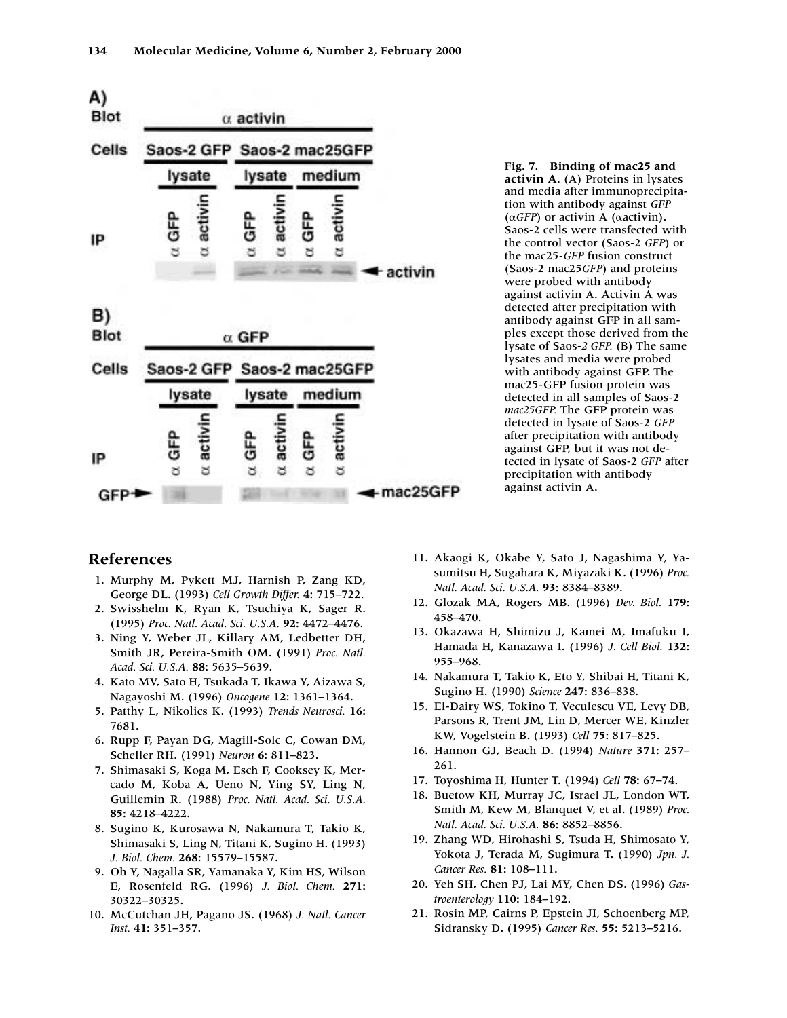

**Fig. 7. Binding of mac25 and activin A.** (A) Proteins in lysates and media after immunoprecipitation with antibody against *GFP*  $(\alpha GFP)$  or activin A ( $\alpha$ activin). Saos-2 cells were transfected with the control vector (Saos-2 *GFP*) or the mac25-*GFP* fusion construct (Saos-2 mac25*GFP*) and proteins were probed with antibody against activin A. Activin A was detected after precipitation with antibody against GFP in all samples except those derived from the lysate of Saos-*2 GFP.* (B) The same lysates and media were probed with antibody against GFP. The mac25-GFP fusion protein was detected in all samples of Saos-2 *mac25GFP.* The GFP protein was detected in lysate of Saos-2 *GFP* after precipitation with antibody against GFP, but it was not detected in lysate of Saos-2 *GFP* after precipitation with antibody against activin A.

# **References**

- 11. Murphy M, Pykett MJ, Harnish P, Zang KD, George DL. (1993) *Cell Growth Differ.* **4:** 715–722.
- 12. Swisshelm K, Ryan K, Tsuchiya K, Sager R. (1995) *Proc. Natl. Acad. Sci. U.S.A.* **92:** 4472–4476.
- 13. Ning Y, Weber JL, Killary AM, Ledbetter DH, Smith JR, Pereira-Smith OM. (1991) *Proc. Natl. Acad. Sci. U.S.A.* **88:** 5635–5639.
- 14. Kato MV, Sato H, Tsukada T, Ikawa Y, Aizawa S, Nagayoshi M. (1996) *Oncogene* **12:** 1361–1364.
- 15. Patthy L, Nikolics K. (1993) *Trends Neurosci.* **16:** 7681.
- 16. Rupp F, Payan DG, Magill-Solc C, Cowan DM, Scheller RH. (1991) *Neuron* **6:** 811–823.
- 17. Shimasaki S, Koga M, Esch F, Cooksey K, Mercado M, Koba A, Ueno N, Ying SY, Ling N, Guillemin R. (1988) *Proc. Natl. Acad. Sci. U.S.A.* **85:** 4218–4222.
- 18. Sugino K, Kurosawa N, Nakamura T, Takio K, Shimasaki S, Ling N, Titani K, Sugino H. (1993) *J. Biol. Chem.* **268:** 15579–15587.
- 19. Oh Y, Nagalla SR, Yamanaka Y, Kim HS, Wilson E, Rosenfeld RG. (1996) *J. Biol. Chem.* **271:** 30322–30325.
- 10. McCutchan JH, Pagano JS. (1968) *J. Natl. Cancer Inst.* **41:** 351–357.
- 11. Akaogi K, Okabe Y, Sato J, Nagashima Y, Yasumitsu H, Sugahara K, Miyazaki K. (1996) *Proc. Natl. Acad. Sci. U.S.A.* **93:** 8384–8389.
- 12. Glozak MA, Rogers MB. (1996) *Dev. Biol.* **179:** 458–470.
- 13. Okazawa H, Shimizu J, Kamei M, Imafuku I, Hamada H, Kanazawa I. (1996) *J. Cell Biol.* **132:** 955–968.
- 14. Nakamura T, Takio K, Eto Y, Shibai H, Titani K, Sugino H. (1990) *Science* **247:** 836–838.
- 15. El-Dairy WS, Tokino T, Veculescu VE, Levy DB, Parsons R, Trent JM, Lin D, Mercer WE, Kinzler KW, Vogelstein B. (1993) *Cell* **75:** 817–825.
- 16. Hannon GJ, Beach D. (1994) *Nature* **371:** 257– 261.
- 17. Toyoshima H, Hunter T. (1994) *Cell* **78:** 67–74.
- 18. Buetow KH, Murray JC, Israel JL, London WT, Smith M, Kew M, Blanquet V, et al. (1989) *Proc. Natl. Acad. Sci. U.S.A.* **86:** 8852–8856.
- 19. Zhang WD, Hirohashi S, Tsuda H, Shimosato Y, Yokota J, Terada M, Sugimura T. (1990) *Jpn. J. Cancer Res.* **81:** 108–111.
- 20. Yeh SH, Chen PJ, Lai MY, Chen DS. (1996) *Gastroenterology* **110:** 184–192.
- 21. Rosin MP, Cairns P, Epstein JI, Schoenberg MP, Sidransky D. (1995) *Cancer Res.* **55:** 5213–5216.